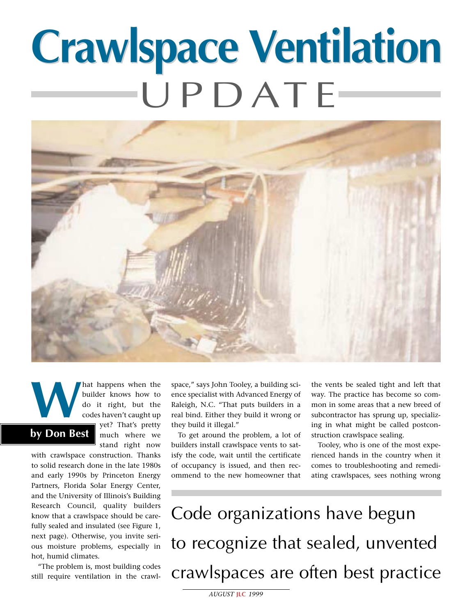# **Crawlspace Ventilation Crawlspace Ventilation**  UPDATE



and the position of the builder knows how to do it right, but the codes haven't caught up yet? That's pretty builder knows how to do it right, but the codes haven't caught up yet? That's pretty much where we stand right now **by Don Best**

with crawlspace construction. Thanks to solid research done in the late 1980s and early 1990s by Princeton Energy Partners, Florida Solar Energy Center, and the University of Illinois's Building Research Council, quality builders know that a crawlspace should be carefully sealed and insulated (see Figure 1, next page). Otherwise, you invite serious moisture problems, especially in hot, humid climates.

"The problem is, most building codes still require ventilation in the crawlspace," says John Tooley, a building science specialist with Advanced Energy of Raleigh, N.C. "That puts builders in a real bind. Either they build it wrong or they build it illegal."

To get around the problem, a lot of builders install crawlspace vents to satisfy the code, wait until the certificate of occupancy is issued, and then recommend to the new homeowner that

the vents be sealed tight and left that way. The practice has become so common in some areas that a new breed of subcontractor has sprung up, specializing in what might be called postconstruction crawlspace sealing.

Tooley, who is one of the most experienced hands in the country when it comes to troubleshooting and remediating crawlspaces, sees nothing wrong

Code organizations have begun to recognize that sealed, unvented crawlspaces are often best practice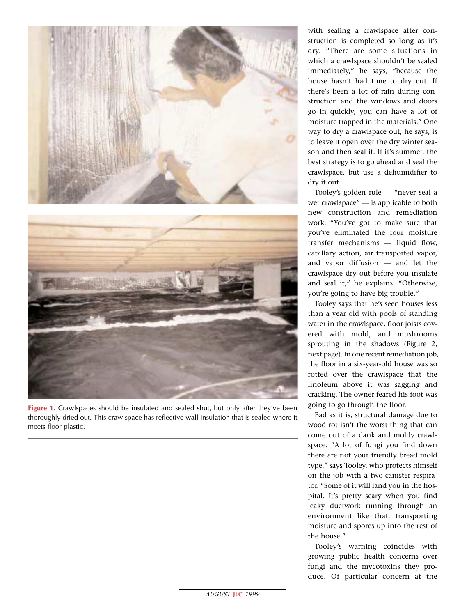



**Figure 1.** Crawlspaces should be insulated and sealed shut, but only after they've been thoroughly dried out. This crawlspace has reflective wall insulation that is sealed where it meets floor plastic.

with sealing a crawlspace after construction is completed so long as it's dry. "There are some situations in which a crawlspace shouldn't be sealed immediately," he says, "because the house hasn't had time to dry out. If there's been a lot of rain during construction and the windows and doors go in quickly, you can have a lot of moisture trapped in the materials." One way to dry a crawlspace out, he says, is to leave it open over the dry winter season and then seal it. If it's summer, the best strategy is to go ahead and seal the crawlspace, but use a dehumidifier to dry it out.

Tooley's golden rule — "never seal a wet crawlspace" — is applicable to both new construction and remediation work. "You've got to make sure that you've eliminated the four moisture transfer mechanisms — liquid flow, capillary action, air transported vapor, and vapor diffusion — and let the crawlspace dry out before you insulate and seal it," he explains. "Otherwise, you're going to have big trouble."

Tooley says that he's seen houses less than a year old with pools of standing water in the crawlspace, floor joists covered with mold, and mushrooms sprouting in the shadows (Figure 2, next page). In one recent remediation job, the floor in a six-year-old house was so rotted over the crawlspace that the linoleum above it was sagging and cracking. The owner feared his foot was going to go through the floor.

Bad as it is, structural damage due to wood rot isn't the worst thing that can come out of a dank and moldy crawlspace. "A lot of fungi you find down there are not your friendly bread mold type," says Tooley, who protects himself on the job with a two-canister respirator. "Some of it will land you in the hospital. It's pretty scary when you find leaky ductwork running through an environment like that, transporting moisture and spores up into the rest of the house."

Tooley's warning coincides with growing public health concerns over fungi and the mycotoxins they produce. Of particular concern at the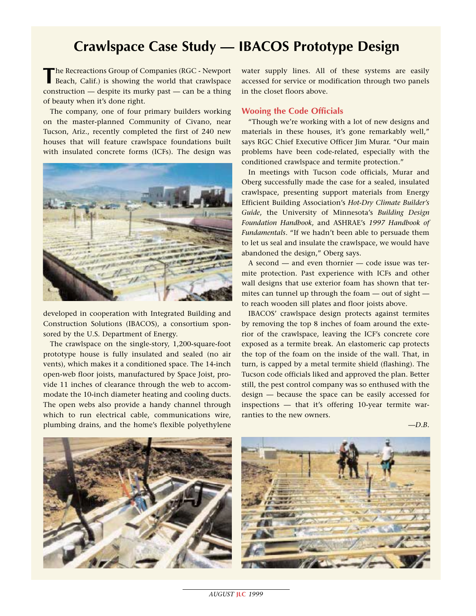# **Crawlspace Case Study — IBACOS Prototype Design**

The Recreactions Group of Companies (RGC - Newport Beach, Calif.) is showing the world that crawlspace construction — despite its murky past — can be a thing of beauty when it's done right.

The company, one of four primary builders working on the master-planned Community of Civano, near Tucson, Ariz., recently completed the first of 240 new houses that will feature crawlspace foundations built with insulated concrete forms (ICFs). The design was



developed in cooperation with Integrated Building and Construction Solutions (IBACOS), a consortium sponsored by the U.S. Department of Energy.

The crawlspace on the single-story, 1,200-square-foot prototype house is fully insulated and sealed (no air vents), which makes it a conditioned space. The 14-inch open-web floor joists, manufactured by Space Joist, provide 11 inches of clearance through the web to accommodate the 10-inch diameter heating and cooling ducts. The open webs also provide a handy channel through which to run electrical cable, communications wire, plumbing drains, and the home's flexible polyethylene

water supply lines. All of these systems are easily accessed for service or modification through two panels in the closet floors above.

#### **Wooing the Code Officials**

"Though we're working with a lot of new designs and materials in these houses, it's gone remarkably well," says RGC Chief Executive Officer Jim Murar. "Our main problems have been code-related, especially with the conditioned crawlspace and termite protection."

In meetings with Tucson code officials, Murar and Oberg successfully made the case for a sealed, insulated crawlspace, presenting support materials from Energy Efficient Building Association's *Hot-Dry Climate Builder's Guide*, the University of Minnesota's *Building Design Foundation Handbook*, and ASHRAE's *1997 Handbook of Fundamentals*. "If we hadn't been able to persuade them to let us seal and insulate the crawlspace, we would have abandoned the design," Oberg says.

A second — and even thornier — code issue was termite protection. Past experience with ICFs and other wall designs that use exterior foam has shown that termites can tunnel up through the foam — out of sight to reach wooden sill plates and floor joists above.

IBACOS' crawlspace design protects against termites by removing the top 8 inches of foam around the exterior of the crawlspace, leaving the ICF's concrete core exposed as a termite break. An elastomeric cap protects the top of the foam on the inside of the wall. That, in turn, is capped by a metal termite shield (flashing). The Tucson code officials liked and approved the plan. Better still, the pest control company was so enthused with the design — because the space can be easily accessed for inspections — that it's offering 10-year termite warranties to the new owners.

*—D.B.*